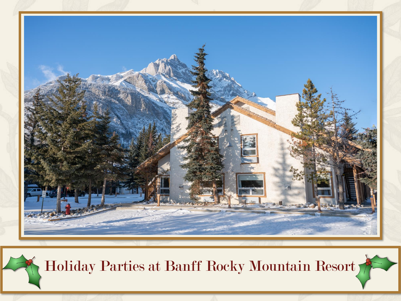

Holiday Parties at Banff Rocky Mountain Resort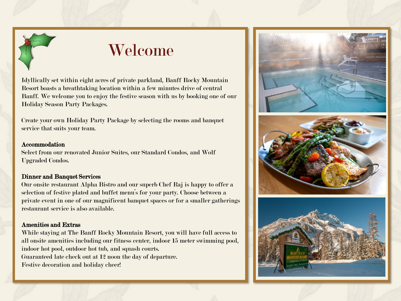

# Welcome

Idyllically set within eight acres of private parkland, Banff Rocky Mountain Resort boasts a breathtaking location within a few minutes drive of central Banff. We welcome you to enjoy the festive season with us by booking one of our Holiday Season Party Packages.

Create your own Holiday Party Package by selecting the rooms and banquet service that suits your team.

#### Accommodation

Select from our renovated Junior Suites, our Standard Condos, and Wolf Upgraded Condos.

## Dinner and Banquet Services

Our onsite restaurant Alpha Bistro and our superb Chef Raj is happy to offer a selection of festive plated and buffet menu's for your party. Choose between a private event in one of our magnificent banquet spaces or for a smaller gatherings restaurant service is also available.

### Amenities and Extras

While staying at The Banff Rocky Mountain Resort, you will have full access to all onsite amenities including our fitness center, indoor 15 meter swimming pool, indoor hot pool, outdoor hot tub, and squash courts. Guaranteed late check out at 12 noon the day of departure. Festive decoration and holiday cheer!





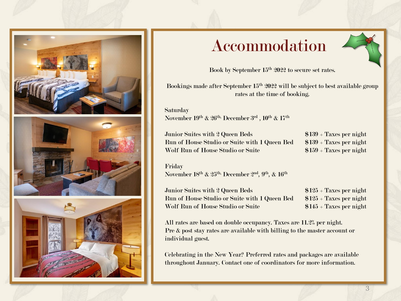

# Accommodation



Book by September 15<sup>th</sup> 2022 to secure set rates.

Bookings made after September 15<sup>th</sup> 2022 will be subject to best available group rates at the time of booking.

**Saturday** November  $19^{\rm th}$  &  $26^{\rm th}$ , December  $3^{\rm rd}$  ,  $10^{\rm th}$  &  $17^{\rm th}$ 

Junior Suites with 2 Queen Beds \$139 + Taxes per night Run of House Studio or Suite with  $1$  Queen Bed  $$139 + T$ axes per night Wolf Run of House Studio or Suite \$159 + Taxes per night

Friday November 18th & 25th, December 2nd, 9th, & 16th

Junior Suites with 2 Queen Beds \$125 + Taxes per night Run of House Studio or Suite with 1 Queen Bed \$125 + Taxes per night Wolf Run of House Studio or Suite \$145 + Taxes per night

All rates are based on double occupancy. Taxes are 11.2% per night. Pre & post stay rates are available with billing to the master account or individual guest.

Celebrating in the New Year? Preferred rates and packages are available throughout January. Contact one of coordinators for more information.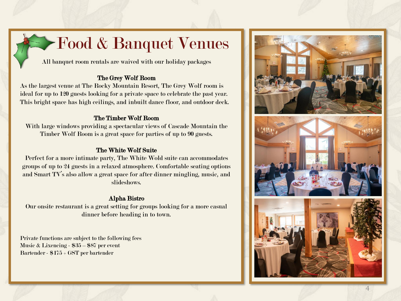# Food & Banquet Venues

All banquet room rentals are waived with our holiday packages

# The Grey Wolf Room

As the largest venue at The Rocky Mountain Resort, The Grey Wolf room is ideal for up to 120 guests looking for a private space to celebrate the past year. This bright space has high ceilings, and inbuilt dance floor, and outdoor deck.

# The Timber Wolf Room

With large windows providing a spectacular views of Cascade Mountain the Timber Wolf Room is a great space for parties of up to 90 guests.

# The White Wolf Suite

Perfect for a more intimate party, The White Wold suite can accommodates groups of up to 24 guests in a relaxed atmosphere. Comfortable seating options and Smart TV's also allow a great space for after dinner mingling, music, and slideshows.

# Alpha Bistro

Our onsite restaurant is a great setting for groups looking for a more casual dinner before heading in to town.

Private functions are subject to the following fees Music & Lixencing - \$35 – \$87 per event Bartender - \$175 + GST per bartender

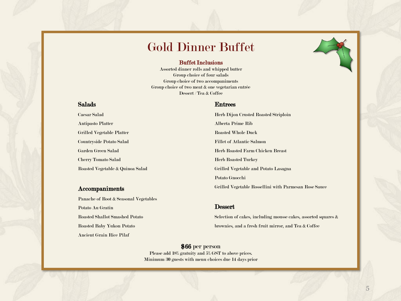# Gold Dinner Buffet

#### Buffet Inclusions

Assorted dinner rolls and whipped butter Group choice of four salads Group choice of two accompaniments Group choice of two meat & one vegetarian entrée Dessert / Tea & Coffee

### Salads

Caesar Salad Antipasto Platter Grilled Vegetable Platter Countryside Potato Salad Garden Green Salad Cherry Tomato Salad Roasted Vegetable & Quinoa Salad

#### Accompaniments

Panache of Root & Seasonal Vegetables Potato Au Gratin Roasted Shallot Smashed Potato Roasted Baby Yukon Potato Ancient Grain Rice Pilaf

#### Entrees

Herb Dijon Crusted Roasted Striploin Alberta Prime Rib Roasted Whole Duck Fillet of Atlantic Salmon Herb Roasted Farm Chicken Breast Herb Roasted Turkey Grilled Vegetable and Potato Lasagna Potato Gnocchi Grilled Vegetable Rossellini with Parmesan Rose Sauce

#### **Dessert**

Selection of cakes, including mousse cakes, assorted squares & brownies, and a fresh fruit mirror, and Tea & Coffee

# \$66 per person

Please add 18% gratuity and 5% GST to above prices. Minimum 30 guests with menu choices due 14 days prior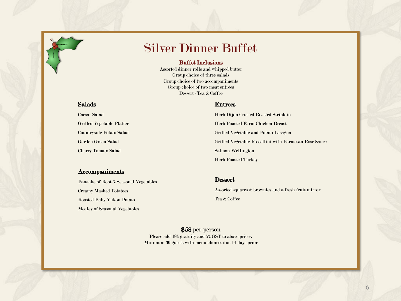# Silver Dinner Buffet

#### Buffet Inclusions

Assorted dinner rolls and whipped butter Group choice of three salads Group choice of two accompaniments Group choice of two meat entrées Dessert / Tea & Coffee

## Salads

Caesar Salad Grilled Vegetable Platter Countryside Potato Salad Garden Green Salad Cherry Tomato Salad

#### Accompaniments

Panache of Root & Seasonal Vegetables Creamy Mashed Potatoes Roasted Baby Yukon Potato Medley of Seasonal Vegetables

#### Entrees

Herb Dijon Crusted Roasted Striploin Herb Roasted Farm Chicken Breast Grilled Vegetable and Potato Lasagna Grilled Vegetable Rossellini with Parmesan Rose Sauce Salmon Wellington Herb Roasted Turkey

#### **Dessert**

Assorted squares & brownies and a fresh fruit mirror Tea & Coffee

\$58 per person Please add 18% gratuity and 5% GST to above prices. Minimum 30 guests with menu choices due 14 days prior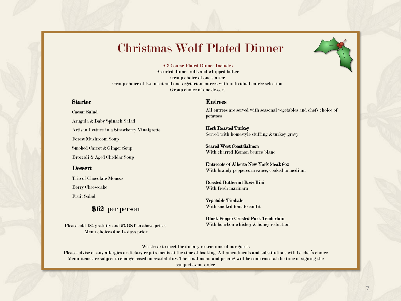# Christmas Wolf Plated Dinner



#### A 3 Course Plated Dinner Includes

Assorted dinner rolls and whipped butter Group choice of one starter Group choice of two meat and one vegetarian entrees with individual entrée selection Group choice of one dessert

#### Starter

Caesar Salad Arugula & Baby Spinach Salad Artisan Lettuce in a Strawberry Vinaigrette Forest Mushroom Soup Smoked Carrot & Ginger Soup Broccoli & Aged Cheddar Soup

#### Dessert

Trio of Chocolate Mousse

Berry Cheesecake

Fruit Salad

\$62 per person

Please add 18% gratuity and 5% GST to above prices. Menu choices due 14 days prior

#### Entrees

All entrees are served with seasonal vegetables and chefs choice of potatoes

Herb Roasted Turkey Served with homestyle stuffing & turkey gravy

Seared West Coast Salmon With charred Kemon beurre blanc

Entrecote of Alberta New York Steak 8oz With brandy peppercorn sauce, cooked to medium

Roasted Butternut Rossellini With fresh marinara

Vegetable Timbale With smoked tomato confit

Black Pepper Crusted Pork Tenderloin With bourbon whiskey & honey reduction

We strive to meet the dietary restrictions of our guests

Please advise of any allergies or dietary requirements at the time of booking. All amendments and substitutions will be chef's choice Menu items are subject to change based on availability. The final menu and pricing will be confirmed at the time of signing the banquet event order.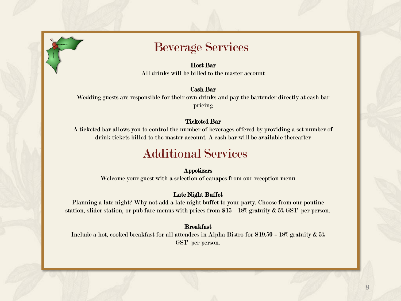

# Beverage Services

#### Host Bar

All drinks will be billed to the master account

## Cash Bar

Wedding guests are responsible for their own drinks and pay the bartender directly at cash bar pricing

## Ticketed Bar

A ticketed bar allows you to control the number of beverages offered by providing a set number of drink tickets billed to the master account. A cash bar will be available thereafter

# Additional Services

## Appetizers

Welcome your guest with a selection of canapes from our reception menu

# Late Night Buffet

Planning a late night? Why not add a late night buffet to your party. Choose from our poutine station, slider station, or pub fare menus with prices from  $15 + 18\%$  gratuity  $\& 5\%$  GST per person.

# Breakfast

Include a hot, cooked breakfast for all attendees in Alpha Bistro for  $$19.50 + 18%$  gratuity  $\& 5%$ GST per person.